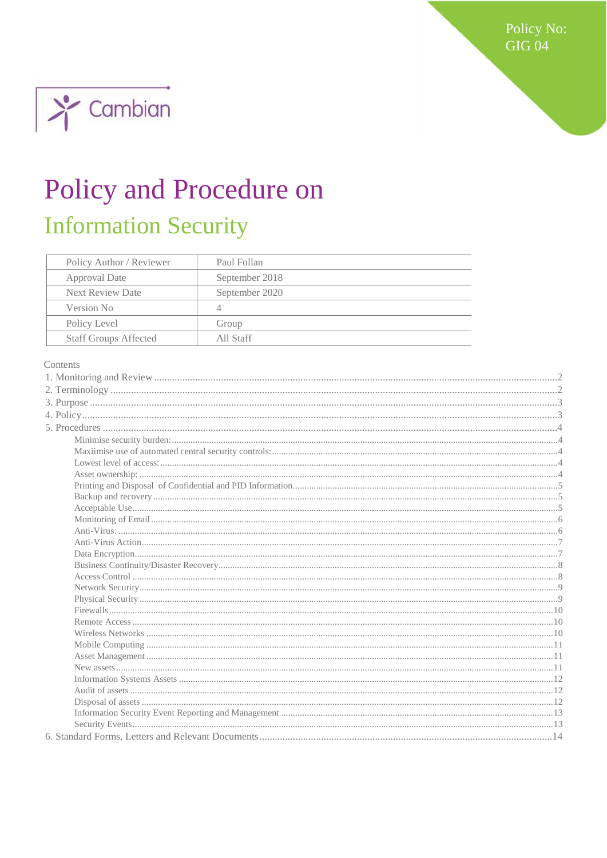Policy No: **GIG 04** 



# Policy and Procedure on **Information Security**

| Policy Author / Reviewer     | Paul Follan    |
|------------------------------|----------------|
| Approval Date                | September 2018 |
| <b>Next Review Date</b>      | September 2020 |
| Version No                   | 4              |
| Policy Level                 | Group          |
| <b>Staff Groups Affected</b> | All Staff      |

#### Contents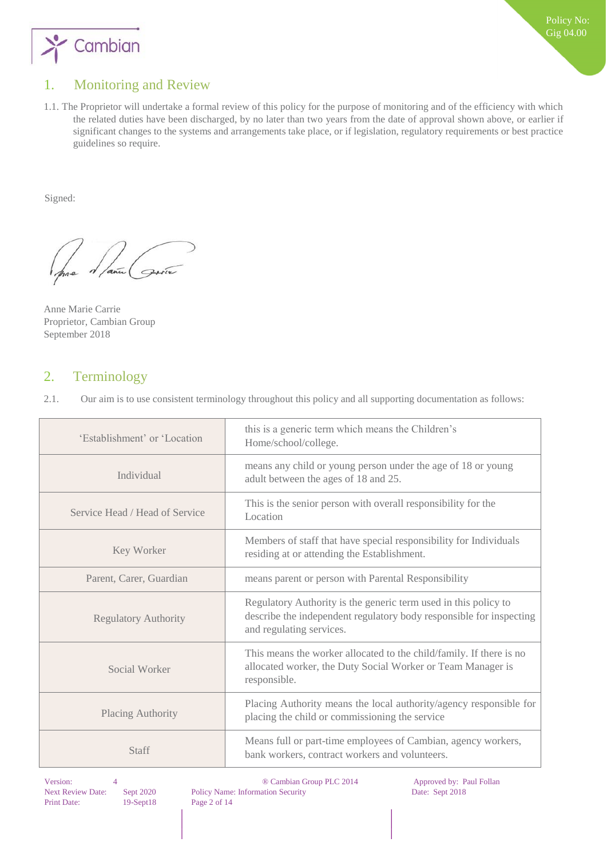

# <span id="page-1-0"></span>1. Monitoring and Review

1.1. The Proprietor will undertake a formal review of this policy for the purpose of monitoring and of the efficiency with which the related duties have been discharged, by no later than two years from the date of approval shown above, or earlier if significant changes to the systems and arrangements take place, or if legislation, regulatory requirements or best practice guidelines so require.

Signed:

Anne Marie Carrie Proprietor, Cambian Group September 2018

## <span id="page-1-1"></span>2. Terminology

|      | Our aim is to use consistent terminology throughout this policy and all supporting documentation as follows: |  |  |  |  |
|------|--------------------------------------------------------------------------------------------------------------|--|--|--|--|
| 2.1. |                                                                                                              |  |  |  |  |
|      |                                                                                                              |  |  |  |  |
|      |                                                                                                              |  |  |  |  |

| 'Establishment' or 'Location                    | this is a generic term which means the Children's<br>Home/school/college.                                                                                          |
|-------------------------------------------------|--------------------------------------------------------------------------------------------------------------------------------------------------------------------|
| Individual                                      | means any child or young person under the age of 18 or young<br>adult between the ages of 18 and 25.                                                               |
| Service Head / Head of Service                  | This is the senior person with overall responsibility for the<br>Location                                                                                          |
| Key Worker                                      | Members of staff that have special responsibility for Individuals<br>residing at or attending the Establishment.                                                   |
| Parent, Carer, Guardian                         | means parent or person with Parental Responsibility                                                                                                                |
| <b>Regulatory Authority</b>                     | Regulatory Authority is the generic term used in this policy to<br>describe the independent regulatory body responsible for inspecting<br>and regulating services. |
| Social Worker                                   | This means the worker allocated to the child/family. If there is no<br>allocated worker, the Duty Social Worker or Team Manager is<br>responsible.                 |
| Placing Authority                               | Placing Authority means the local authority/agency responsible for<br>placing the child or commissioning the service                                               |
| <b>Staff</b>                                    | Means full or part-time employees of Cambian, agency workers,<br>bank workers, contract workers and volunteers.                                                    |
| $\mathbf{X} \mathbf{Y} = \mathbf{X} \mathbf{Y}$ | $\odot$ C <sub>ran</sub> ting C <sub>rant</sub> DI C 2014<br>$\lambda$ and an extended to the CD and TP-11.                                                        |

Print Date: 19-Sept18 Page 2 of 14

Version: 4 ® Cambian Group PLC 2014 Approved by: Paul Follan Next Review Date: Sept 2020 Policy Name: Information Security Date: Sept 2018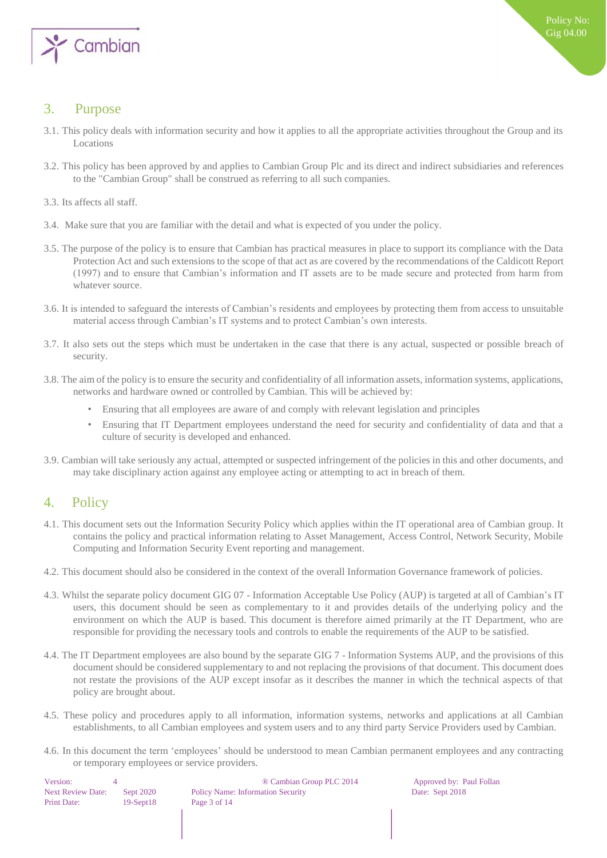

# <span id="page-2-0"></span>**Purpose**

- 3.1. This policy deals with information security and how it applies to all the appropriate activities throughout the Group and its Locations
- 3.2. This policy has been approved by and applies to Cambian Group Plc and its direct and indirect subsidiaries and references to the "Cambian Group" shall be construed as referring to all such companies.
- 3.3. Its affects all staff.
- 3.4.Make sure that you are familiar with the detail and what is expected of you under the policy.
- 3.5. The purpose of the policy is to ensure that Cambian has practical measures in place to support its compliance with the Data Protection Act and such extensions to the scope of that act as are covered by the recommendations of the Caldicott Report (1997) and to ensure that Cambian's information and IT assets are to be made secure and protected from harm from whatever source.
- 3.6. It is intended to safeguard the interests of Cambian's residents and employees by protecting them from access to unsuitable material access through Cambian's IT systems and to protect Cambian's own interests.
- 3.7. It also sets out the steps which must be undertaken in the case that there is any actual, suspected or possible breach of security.
- 3.8. The aim of the policy is to ensure the security and confidentiality of all information assets, information systems, applications, networks and hardware owned or controlled by Cambian. This will be achieved by:
	- Ensuring that all employees are aware of and comply with relevant legislation and principles
	- Ensuring that IT Department employees understand the need for security and confidentiality of data and that a culture of security is developed and enhanced.
- 3.9. Cambian will take seriously any actual, attempted or suspected infringement of the policies in this and other documents, and may take disciplinary action against any employee acting or attempting to act in breach of them.

## <span id="page-2-1"></span>4. Policy

- 4.1. This document sets out the Information Security Policy which applies within the IT operational area of Cambian group. It contains the policy and practical information relating to Asset Management, Access Control, Network Security, Mobile Computing and Information Security Event reporting and management.
- 4.2. This document should also be considered in the context of the overall Information Governance framework of policies.
- 4.3. Whilst the separate policy document GIG 07 Information Acceptable Use Policy (AUP) is targeted at all of Cambian's IT users, this document should be seen as complementary to it and provides details of the underlying policy and the environment on which the AUP is based. This document is therefore aimed primarily at the IT Department, who are responsible for providing the necessary tools and controls to enable the requirements of the AUP to be satisfied.
- 4.4. The IT Department employees are also bound by the separate GIG 7 Information Systems AUP, and the provisions of this document should be considered supplementary to and not replacing the provisions of that document. This document does not restate the provisions of the AUP except insofar as it describes the manner in which the technical aspects of that policy are brought about.
- 4.5. These policy and procedures apply to all information, information systems, networks and applications at all Cambian establishments, to all Cambian employees and system users and to any third party Service Providers used by Cambian.
- 4.6. In this document the term 'employees' should be understood to mean Cambian permanent employees and any contracting or temporary employees or service providers.

| Version:                 | 4 |             |
|--------------------------|---|-------------|
| <b>Next Review Date:</b> |   | Sept 2020   |
| <b>Print Date:</b>       |   | $19-Sept18$ |

® Cambian Group PLC 2014 Approved by: Paul Follan Policy Name: Information Security Date: Sept 2018 8 Page 3 of 14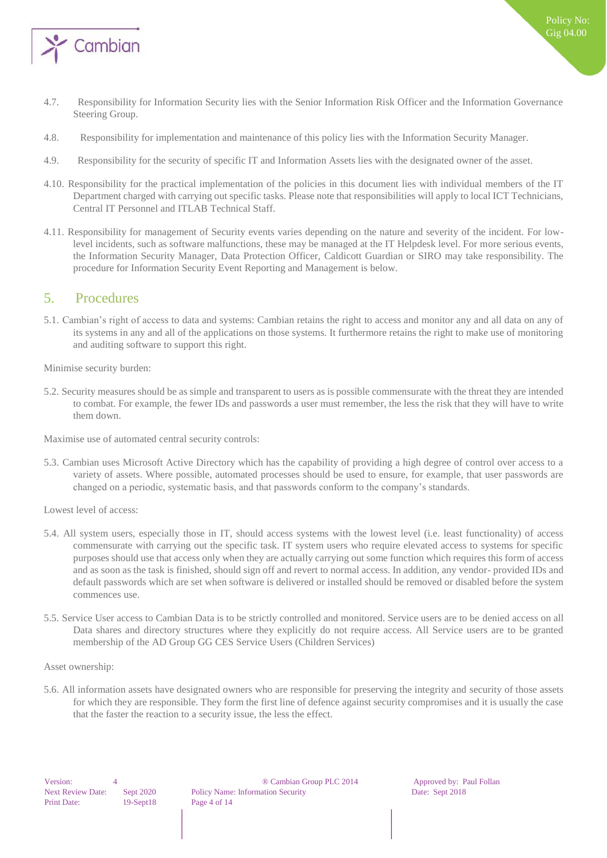

- 4.7.Responsibility for Information Security lies with the Senior Information Risk Officer and the Information Governance Steering Group.
- 4.8. Responsibility for implementation and maintenance of this policy lies with the Information Security Manager.
- 4.9. Responsibility for the security of specific IT and Information Assets lies with the designated owner of the asset.
- 4.10. Responsibility for the practical implementation of the policies in this document lies with individual members of the IT Department charged with carrying out specific tasks. Please note that responsibilities will apply to local ICT Technicians, Central IT Personnel and ITLAB Technical Staff.
- 4.11. Responsibility for management of Security events varies depending on the nature and severity of the incident. For lowlevel incidents, such as software malfunctions, these may be managed at the IT Helpdesk level. For more serious events, the Information Security Manager, Data Protection Officer, Caldicott Guardian or SIRO may take responsibility. The procedure for Information Security Event Reporting and Management is below.

## <span id="page-3-0"></span>5. Procedures

5.1. Cambian's right of access to data and systems: Cambian retains the right to access and monitor any and all data on any of its systems in any and all of the applications on those systems. It furthermore retains the right to make use of monitoring and auditing software to support this right.

<span id="page-3-1"></span>Minimise security burden:

5.2. Security measures should be as simple and transparent to users as is possible commensurate with the threat they are intended to combat. For example, the fewer IDs and passwords a user must remember, the less the risk that they will have to write them down.

<span id="page-3-2"></span>Maximise use of automated central security controls:

5.3. Cambian uses Microsoft Active Directory which has the capability of providing a high degree of control over access to a variety of assets. Where possible, automated processes should be used to ensure, for example, that user passwords are changed on a periodic, systematic basis, and that passwords conform to the company's standards.

<span id="page-3-3"></span>Lowest level of access:

- 5.4. All system users, especially those in IT, should access systems with the lowest level (i.e. least functionality) of access commensurate with carrying out the specific task. IT system users who require elevated access to systems for specific purposes should use that access only when they are actually carrying out some function which requires this form of access and as soon as the task is finished, should sign off and revert to normal access. In addition, any vendor- provided IDs and default passwords which are set when software is delivered or installed should be removed or disabled before the system commences use.
- 5.5. Service User access to Cambian Data is to be strictly controlled and monitored. Service users are to be denied access on all Data shares and directory structures where they explicitly do not require access. All Service users are to be granted membership of the AD Group GG CES Service Users (Children Services)

#### <span id="page-3-4"></span>Asset ownership:

5.6. All information assets have designated owners who are responsible for preserving the integrity and security of those assets for which they are responsible. They form the first line of defence against security compromises and it is usually the case that the faster the reaction to a security issue, the less the effect.

Version: 4 8 8 º Cambian Group PLC 2014 Approved by: Paul Follan Next Review Date: Sept 2020 Policy Name: Information Security Date: Sept 2018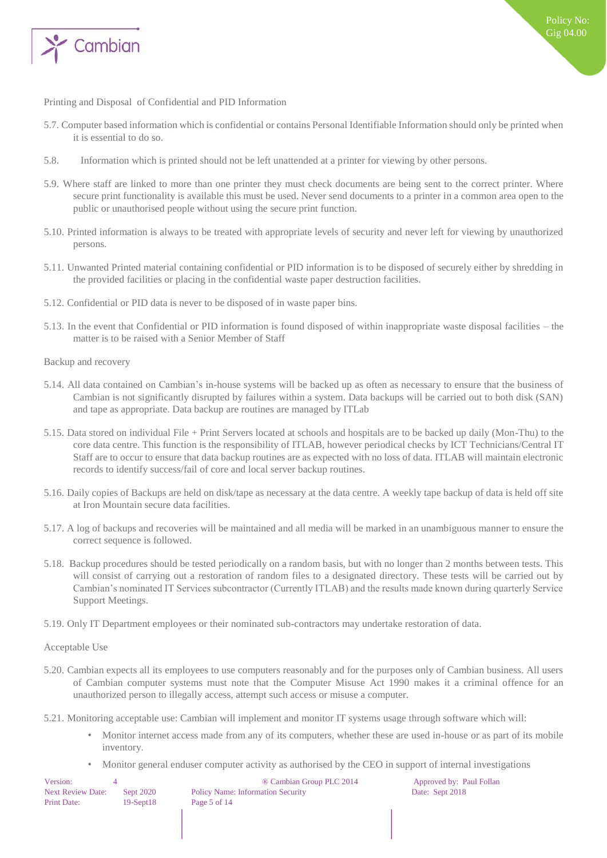

<span id="page-4-0"></span>Printing and Disposal of Confidential and PID Information

- 5.7. Computer based information which is confidential or contains Personal Identifiable Information should only be printed when it is essential to do so.
- 5.8. Information which is printed should not be left unattended at a printer for viewing by other persons.
- 5.9. Where staff are linked to more than one printer they must check documents are being sent to the correct printer. Where secure print functionality is available this must be used. Never send documents to a printer in a common area open to the public or unauthorised people without using the secure print function.
- 5.10. Printed information is always to be treated with appropriate levels of security and never left for viewing by unauthorized persons.
- 5.11. Unwanted Printed material containing confidential or PID information is to be disposed of securely either by shredding in the provided facilities or placing in the confidential waste paper destruction facilities.
- 5.12. Confidential or PID data is never to be disposed of in waste paper bins.
- 5.13. In the event that Confidential or PID information is found disposed of within inappropriate waste disposal facilities the matter is to be raised with a Senior Member of Staff
- <span id="page-4-1"></span>Backup and recovery
- 5.14. All data contained on Cambian's in-house systems will be backed up as often as necessary to ensure that the business of Cambian is not significantly disrupted by failures within a system. Data backups will be carried out to both disk (SAN) and tape as appropriate. Data backup are routines are managed by ITLab
- 5.15. Data stored on individual File + Print Servers located at schools and hospitals are to be backed up daily (Mon-Thu) to the core data centre. This function is the responsibility of ITLAB, however periodical checks by ICT Technicians/Central IT Staff are to occur to ensure that data backup routines are as expected with no loss of data. ITLAB will maintain electronic records to identify success/fail of core and local server backup routines.
- 5.16. Daily copies of Backups are held on disk/tape as necessary at the data centre. A weekly tape backup of data is held off site at Iron Mountain secure data facilities.
- 5.17. A log of backups and recoveries will be maintained and all media will be marked in an unambiguous manner to ensure the correct sequence is followed.
- 5.18. Backup procedures should be tested periodically on a random basis, but with no longer than 2 months between tests. This will consist of carrying out a restoration of random files to a designated directory. These tests will be carried out by Cambian's nominated IT Services subcontractor (Currently ITLAB) and the results made known during quarterly Service Support Meetings.
- 5.19. Only IT Department employees or their nominated sub-contractors may undertake restoration of data.

<span id="page-4-2"></span>Acceptable Use

5.20. Cambian expects all its employees to use computers reasonably and for the purposes only of Cambian business. All users of Cambian computer systems must note that the Computer Misuse Act 1990 makes it a criminal offence for an unauthorized person to illegally access, attempt such access or misuse a computer.

5.21. Monitoring acceptable use: Cambian will implement and monitor IT systems usage through software which will:

- Monitor internet access made from any of its computers, whether these are used in-house or as part of its mobile inventory.
- Monitor general enduser computer activity as authorised by the CEO in support of internal investigations

| Version:                 |             | ® Cambian Group PLC 2014                 | Approved by: Paul Follan |
|--------------------------|-------------|------------------------------------------|--------------------------|
| <b>Next Review Date:</b> | Sept 2020   | <b>Policy Name: Information Security</b> | Date: Sept 2018          |
| Print Date:              | $19-Sept18$ | Page 5 of 14                             |                          |
|                          |             |                                          |                          |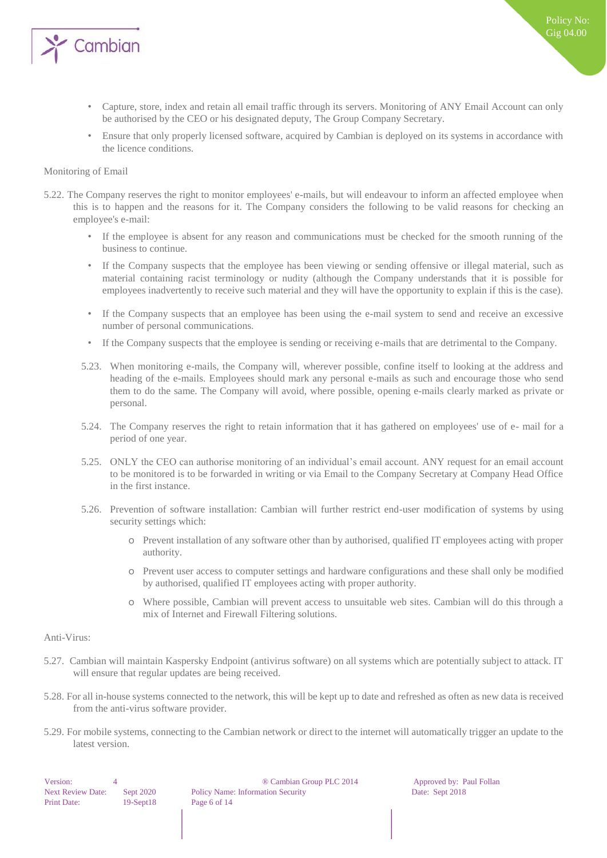

- Capture, store, index and retain all email traffic through its servers. Monitoring of ANY Email Account can only be authorised by the CEO or his designated deputy, The Group Company Secretary.
- Ensure that only properly licensed software, acquired by Cambian is deployed on its systems in accordance with the licence conditions.

#### <span id="page-5-0"></span>Monitoring of Email

- 5.22. The Company reserves the right to monitor employees' e-mails, but will endeavour to inform an affected employee when this is to happen and the reasons for it. The Company considers the following to be valid reasons for checking an employee's e-mail:
	- If the employee is absent for any reason and communications must be checked for the smooth running of the business to continue.
	- If the Company suspects that the employee has been viewing or sending offensive or illegal material, such as material containing racist terminology or nudity (although the Company understands that it is possible for employees inadvertently to receive such material and they will have the opportunity to explain if this is the case).
	- If the Company suspects that an employee has been using the e-mail system to send and receive an excessive number of personal communications.
	- If the Company suspects that the employee is sending or receiving e-mails that are detrimental to the Company.
	- 5.23. When monitoring e-mails, the Company will, wherever possible, confine itself to looking at the address and heading of the e-mails. Employees should mark any personal e-mails as such and encourage those who send them to do the same. The Company will avoid, where possible, opening e-mails clearly marked as private or personal.
	- 5.24. The Company reserves the right to retain information that it has gathered on employees' use of e- mail for a period of one year.
	- 5.25. ONLY the CEO can authorise monitoring of an individual's email account. ANY request for an email account to be monitored is to be forwarded in writing or via Email to the Company Secretary at Company Head Office in the first instance.
	- 5.26. Prevention of software installation: Cambian will further restrict end-user modification of systems by using security settings which:
		- o Prevent installation of any software other than by authorised, qualified IT employees acting with proper authority.
		- o Prevent user access to computer settings and hardware configurations and these shall only be modified by authorised, qualified IT employees acting with proper authority.
		- o Where possible, Cambian will prevent access to unsuitable web sites. Cambian will do this through a mix of Internet and Firewall Filtering solutions.

#### <span id="page-5-1"></span>Anti-Virus:

- 5.27. Cambian will maintain Kaspersky Endpoint (antivirus software) on all systems which are potentially subject to attack. IT will ensure that regular updates are being received.
- 5.28. For all in-house systems connected to the network, this will be kept up to date and refreshed as often as new data is received from the anti-virus software provider.
- 5.29. For mobile systems, connecting to the Cambian network or direct to the internet will automatically trigger an update to the latest version.

Version: 4 8 4 9 Cambian Group PLC 2014 Approved by: Paul Follan Next Review Date: Sept 2020 Policy Name: Information Security Date: Sept 2018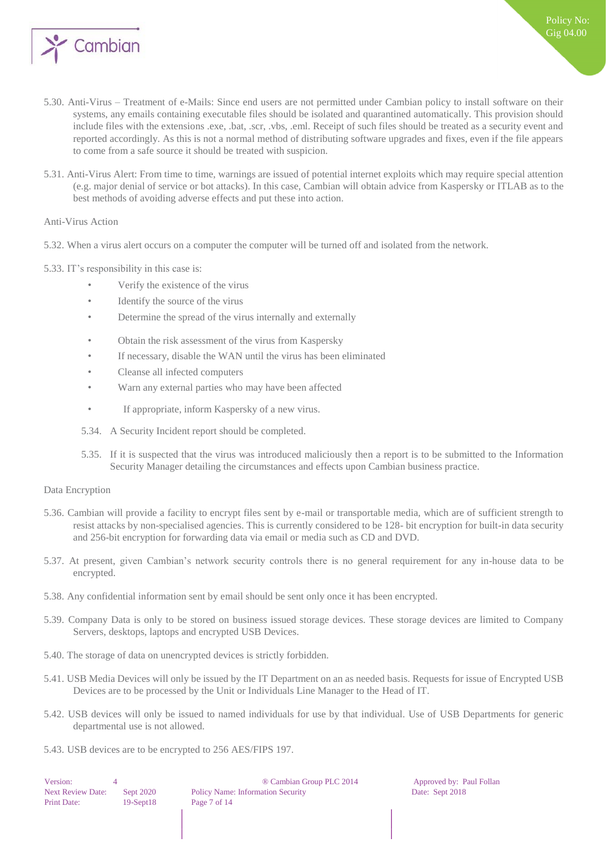

- 5.30. Anti-Virus Treatment of e-Mails: Since end users are not permitted under Cambian policy to install software on their systems, any emails containing executable files should be isolated and quarantined automatically. This provision should include files with the extensions .exe, .bat, .scr, .vbs, .eml. Receipt of such files should be treated as a security event and reported accordingly. As this is not a normal method of distributing software upgrades and fixes, even if the file appears to come from a safe source it should be treated with suspicion.
- 5.31. Anti-Virus Alert: From time to time, warnings are issued of potential internet exploits which may require special attention (e.g. major denial of service or bot attacks). In this case, Cambian will obtain advice from Kaspersky or ITLAB as to the best methods of avoiding adverse effects and put these into action.

#### <span id="page-6-0"></span>Anti-Virus Action

- 5.32. When a virus alert occurs on a computer the computer will be turned off and isolated from the network.
- 5.33. IT's responsibility in this case is:
	- Verify the existence of the virus
	- Identify the source of the virus
	- Determine the spread of the virus internally and externally
	- Obtain the risk assessment of the virus from Kaspersky
	- If necessary, disable the WAN until the virus has been eliminated
	- Cleanse all infected computers
	- Warn any external parties who may have been affected
	- If appropriate, inform Kaspersky of a new virus.
	- 5.34. A Security Incident report should be completed.
	- 5.35. If it is suspected that the virus was introduced maliciously then a report is to be submitted to the Information Security Manager detailing the circumstances and effects upon Cambian business practice.

#### <span id="page-6-1"></span>Data Encryption

- 5.36. Cambian will provide a facility to encrypt files sent by e-mail or transportable media, which are of sufficient strength to resist attacks by non-specialised agencies. This is currently considered to be 128- bit encryption for built-in data security and 256-bit encryption for forwarding data via email or media such as CD and DVD.
- 5.37. At present, given Cambian's network security controls there is no general requirement for any in-house data to be encrypted.
- 5.38. Any confidential information sent by email should be sent only once it has been encrypted.
- 5.39. Company Data is only to be stored on business issued storage devices. These storage devices are limited to Company Servers, desktops, laptops and encrypted USB Devices.
- 5.40. The storage of data on unencrypted devices is strictly forbidden.
- 5.41. USB Media Devices will only be issued by the IT Department on an as needed basis. Requests for issue of Encrypted USB Devices are to be processed by the Unit or Individuals Line Manager to the Head of IT.
- 5.42. USB devices will only be issued to named individuals for use by that individual. Use of USB Departments for generic departmental use is not allowed.
- 5.43. USB devices are to be encrypted to 256 AES/FIPS 197.

| Version:                 | 4 |             |
|--------------------------|---|-------------|
| <b>Next Review Date:</b> |   | Sept 2020   |
| <b>Print Date:</b>       |   | $19-Sept18$ |

® Cambian Group PLC 2014 Approved by: Paul Follan Policy Name: Information Security Date: Sept 2018 Page 7 of 14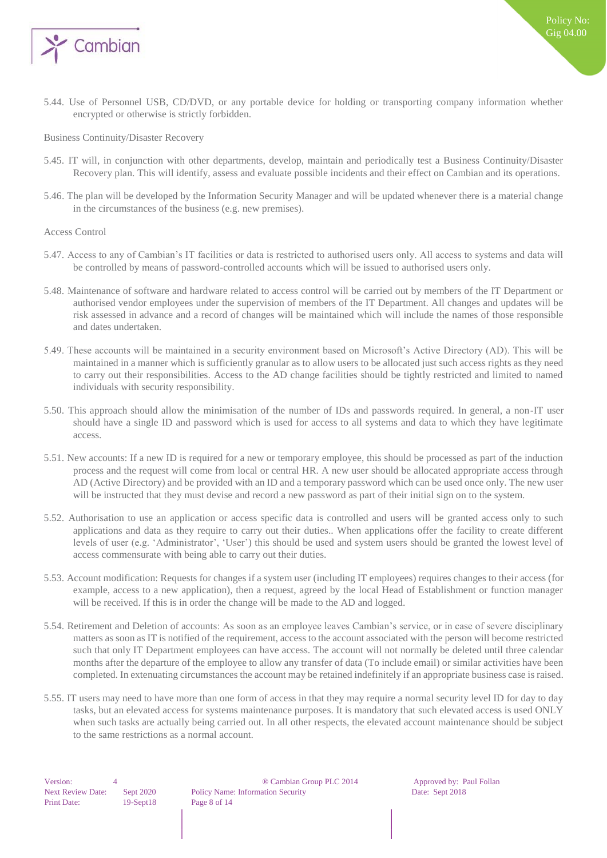

5.44. Use of Personnel USB, CD/DVD, or any portable device for holding or transporting company information whether encrypted or otherwise is strictly forbidden.

<span id="page-7-0"></span>Business Continuity/Disaster Recovery

- 5.45. IT will, in conjunction with other departments, develop, maintain and periodically test a Business Continuity/Disaster Recovery plan. This will identify, assess and evaluate possible incidents and their effect on Cambian and its operations.
- 5.46. The plan will be developed by the Information Security Manager and will be updated whenever there is a material change in the circumstances of the business (e.g. new premises).

#### <span id="page-7-1"></span>Access Control

- 5.47. Access to any of Cambian's IT facilities or data is restricted to authorised users only. All access to systems and data will be controlled by means of password-controlled accounts which will be issued to authorised users only.
- 5.48. Maintenance of software and hardware related to access control will be carried out by members of the IT Department or authorised vendor employees under the supervision of members of the IT Department. All changes and updates will be risk assessed in advance and a record of changes will be maintained which will include the names of those responsible and dates undertaken.
- 5.49. These accounts will be maintained in a security environment based on Microsoft's Active Directory (AD). This will be maintained in a manner which is sufficiently granular as to allow users to be allocated just such access rights as they need to carry out their responsibilities. Access to the AD change facilities should be tightly restricted and limited to named individuals with security responsibility.
- 5.50. This approach should allow the minimisation of the number of IDs and passwords required. In general, a non-IT user should have a single ID and password which is used for access to all systems and data to which they have legitimate access.
- 5.51. New accounts: If a new ID is required for a new or temporary employee, this should be processed as part of the induction process and the request will come from local or central HR. A new user should be allocated appropriate access through AD (Active Directory) and be provided with an ID and a temporary password which can be used once only. The new user will be instructed that they must devise and record a new password as part of their initial sign on to the system.
- 5.52. Authorisation to use an application or access specific data is controlled and users will be granted access only to such applications and data as they require to carry out their duties.. When applications offer the facility to create different levels of user (e.g. 'Administrator', 'User') this should be used and system users should be granted the lowest level of access commensurate with being able to carry out their duties.
- 5.53. Account modification: Requests for changes if a system user (including IT employees) requires changes to their access (for example, access to a new application), then a request, agreed by the local Head of Establishment or function manager will be received. If this is in order the change will be made to the AD and logged.
- 5.54. Retirement and Deletion of accounts: As soon as an employee leaves Cambian's service, or in case of severe disciplinary matters as soon as IT is notified of the requirement, access to the account associated with the person will become restricted such that only IT Department employees can have access. The account will not normally be deleted until three calendar months after the departure of the employee to allow any transfer of data (To include email) or similar activities have been completed. In extenuating circumstances the account may be retained indefinitely if an appropriate business case is raised.
- 5.55. IT users may need to have more than one form of access in that they may require a normal security level ID for day to day tasks, but an elevated access for systems maintenance purposes. It is mandatory that such elevated access is used ONLY when such tasks are actually being carried out. In all other respects, the elevated account maintenance should be subject to the same restrictions as a normal account.

Version: 4 8 4 9 Cambian Group PLC 2014 Approved by: Paul Follan Next Review Date: Sept 2020 Policy Name: Information Security Date: Sept 2018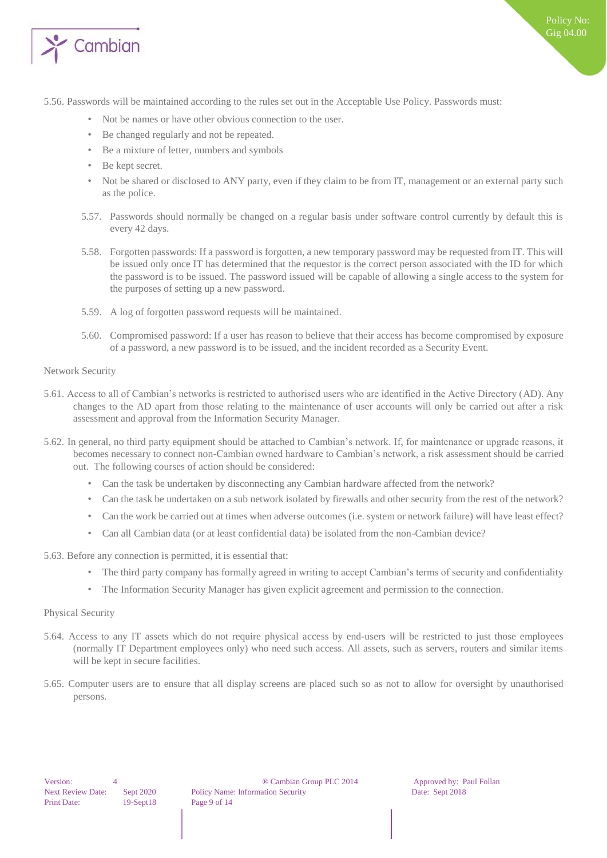

- 5.56. Passwords will be maintained according to the rules set out in the Acceptable Use Policy. Passwords must:
	- Not be names or have other obvious connection to the user.
	- Be changed regularly and not be repeated.
	- Be a mixture of letter, numbers and symbols
	- Be kept secret.
	- Not be shared or disclosed to ANY party, even if they claim to be from IT, management or an external party such as the police.
	- 5.57. Passwords should normally be changed on a regular basis under software control currently by default this is every 42 days.
	- 5.58. Forgotten passwords: If a password is forgotten, a new temporary password may be requested from IT. This will be issued only once IT has determined that the requestor is the correct person associated with the ID for which the password is to be issued. The password issued will be capable of allowing a single access to the system for the purposes of setting up a new password.
	- 5.59. A log of forgotten password requests will be maintained.
	- 5.60. Compromised password: If a user has reason to believe that their access has become compromised by exposure of a password, a new password is to be issued, and the incident recorded as a Security Event.

#### <span id="page-8-0"></span>Network Security

- 5.61. Access to all of Cambian's networks is restricted to authorised users who are identified in the Active Directory (AD). Any changes to the AD apart from those relating to the maintenance of user accounts will only be carried out after a risk assessment and approval from the Information Security Manager.
- 5.62. In general, no third party equipment should be attached to Cambian's network. If, for maintenance or upgrade reasons, it becomes necessary to connect non-Cambian owned hardware to Cambian's network, a risk assessment should be carried out. The following courses of action should be considered:
	- Can the task be undertaken by disconnecting any Cambian hardware affected from the network?
	- Can the task be undertaken on a sub network isolated by firewalls and other security from the rest of the network?
	- Can the work be carried out at times when adverse outcomes (i.e. system or network failure) will have least effect?
	- Can all Cambian data (or at least confidential data) be isolated from the non-Cambian device?
- 5.63. Before any connection is permitted, it is essential that:
	- The third party company has formally agreed in writing to accept Cambian's terms of security and confidentiality
	- The Information Security Manager has given explicit agreement and permission to the connection.

#### <span id="page-8-1"></span>Physical Security

- 5.64. Access to any IT assets which do not require physical access by end-users will be restricted to just those employees (normally IT Department employees only) who need such access. All assets, such as servers, routers and similar items will be kept in secure facilities.
- 5.65. Computer users are to ensure that all display screens are placed such so as not to allow for oversight by unauthorised persons.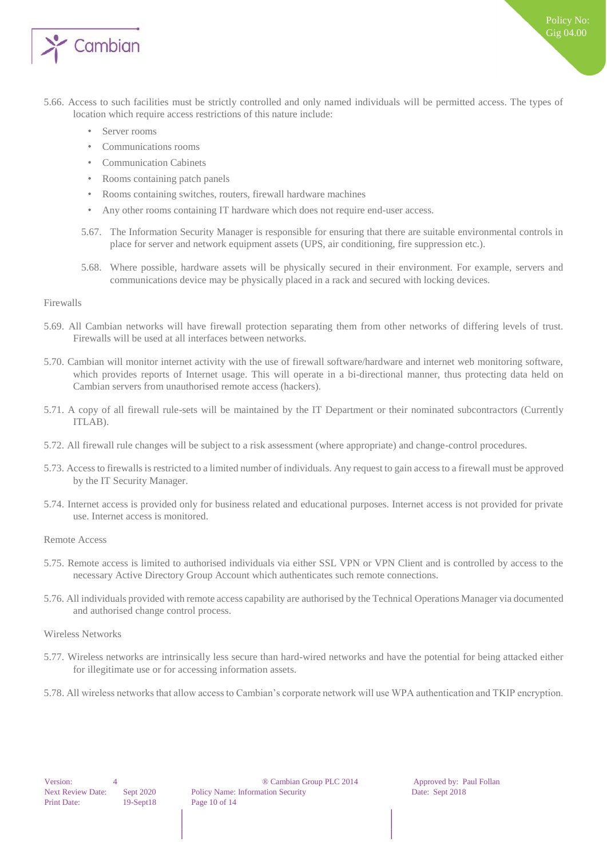

- 5.66. Access to such facilities must be strictly controlled and only named individuals will be permitted access. The types of location which require access restrictions of this nature include:
	- Server rooms
	- Communications rooms
	- Communication Cabinets
	- Rooms containing patch panels
	- Rooms containing switches, routers, firewall hardware machines
	- Any other rooms containing IT hardware which does not require end-user access.
	- 5.67. The Information Security Manager is responsible for ensuring that there are suitable environmental controls in place for server and network equipment assets (UPS, air conditioning, fire suppression etc.).
	- 5.68. Where possible, hardware assets will be physically secured in their environment. For example, servers and communications device may be physically placed in a rack and secured with locking devices.

#### <span id="page-9-0"></span>Firewalls

- 5.69. All Cambian networks will have firewall protection separating them from other networks of differing levels of trust. Firewalls will be used at all interfaces between networks.
- 5.70. Cambian will monitor internet activity with the use of firewall software/hardware and internet web monitoring software, which provides reports of Internet usage. This will operate in a bi-directional manner, thus protecting data held on Cambian servers from unauthorised remote access (hackers).
- 5.71. A copy of all firewall rule-sets will be maintained by the IT Department or their nominated subcontractors (Currently ITLAB).
- 5.72. All firewall rule changes will be subject to a risk assessment (where appropriate) and change-control procedures.
- 5.73. Access to firewalls is restricted to a limited number of individuals. Any request to gain access to a firewall must be approved by the IT Security Manager.
- 5.74. Internet access is provided only for business related and educational purposes. Internet access is not provided for private use. Internet access is monitored.

<span id="page-9-1"></span>Remote Access

- 5.75. Remote access is limited to authorised individuals via either SSL VPN or VPN Client and is controlled by access to the necessary Active Directory Group Account which authenticates such remote connections.
- 5.76. All individuals provided with remote access capability are authorised by the Technical Operations Manager via documented and authorised change control process.
- <span id="page-9-2"></span>Wireless Networks
- 5.77. Wireless networks are intrinsically less secure than hard-wired networks and have the potential for being attacked either for illegitimate use or for accessing information assets.
- 5.78. All wireless networks that allow access to Cambian's corporate network will use WPA authentication and TKIP encryption.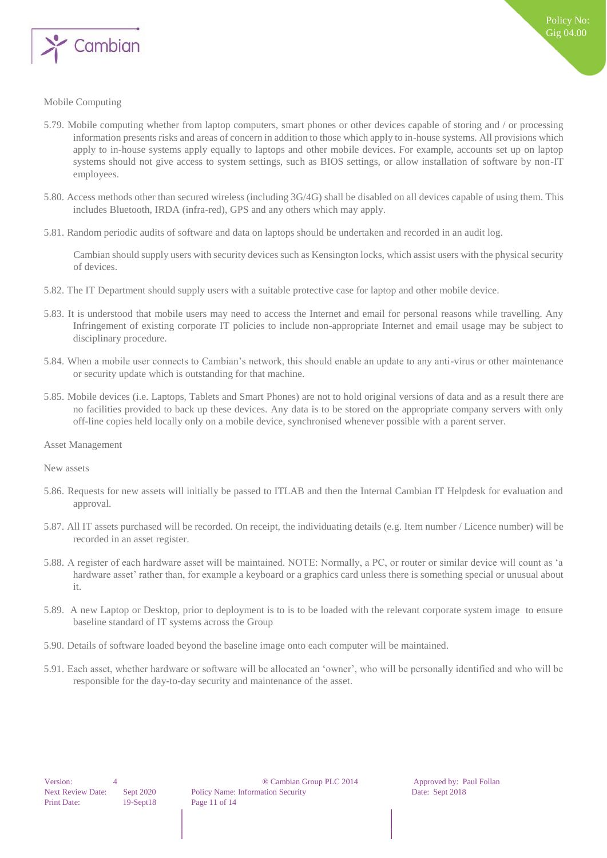

#### <span id="page-10-0"></span>Mobile Computing

- 5.79. Mobile computing whether from laptop computers, smart phones or other devices capable of storing and / or processing information presents risks and areas of concern in addition to those which apply to in-house systems. All provisions which apply to in-house systems apply equally to laptops and other mobile devices. For example, accounts set up on laptop systems should not give access to system settings, such as BIOS settings, or allow installation of software by non-IT employees.
- 5.80. Access methods other than secured wireless (including 3G/4G) shall be disabled on all devices capable of using them. This includes Bluetooth, IRDA (infra-red), GPS and any others which may apply.
- 5.81. Random periodic audits of software and data on laptops should be undertaken and recorded in an audit log.

Cambian should supply users with security devices such as Kensington locks, which assist users with the physical security of devices.

- 5.82. The IT Department should supply users with a suitable protective case for laptop and other mobile device.
- 5.83. It is understood that mobile users may need to access the Internet and email for personal reasons while travelling. Any Infringement of existing corporate IT policies to include non-appropriate Internet and email usage may be subject to disciplinary procedure.
- 5.84. When a mobile user connects to Cambian's network, this should enable an update to any anti-virus or other maintenance or security update which is outstanding for that machine.
- 5.85. Mobile devices (i.e. Laptops, Tablets and Smart Phones) are not to hold original versions of data and as a result there are no facilities provided to back up these devices. Any data is to be stored on the appropriate company servers with only off-line copies held locally only on a mobile device, synchronised whenever possible with a parent server.
- <span id="page-10-1"></span>Asset Management

<span id="page-10-2"></span>New assets

- 5.86. Requests for new assets will initially be passed to ITLAB and then the Internal Cambian IT Helpdesk for evaluation and approval.
- 5.87. All IT assets purchased will be recorded. On receipt, the individuating details (e.g. Item number / Licence number) will be recorded in an asset register.
- 5.88. A register of each hardware asset will be maintained. NOTE: Normally, a PC, or router or similar device will count as 'a hardware asset' rather than, for example a keyboard or a graphics card unless there is something special or unusual about it.
- 5.89. A new Laptop or Desktop, prior to deployment is to is to be loaded with the relevant corporate system image to ensure baseline standard of IT systems across the Group
- 5.90. Details of software loaded beyond the baseline image onto each computer will be maintained.
- 5.91. Each asset, whether hardware or software will be allocated an 'owner', who will be personally identified and who will be responsible for the day-to-day security and maintenance of the asset.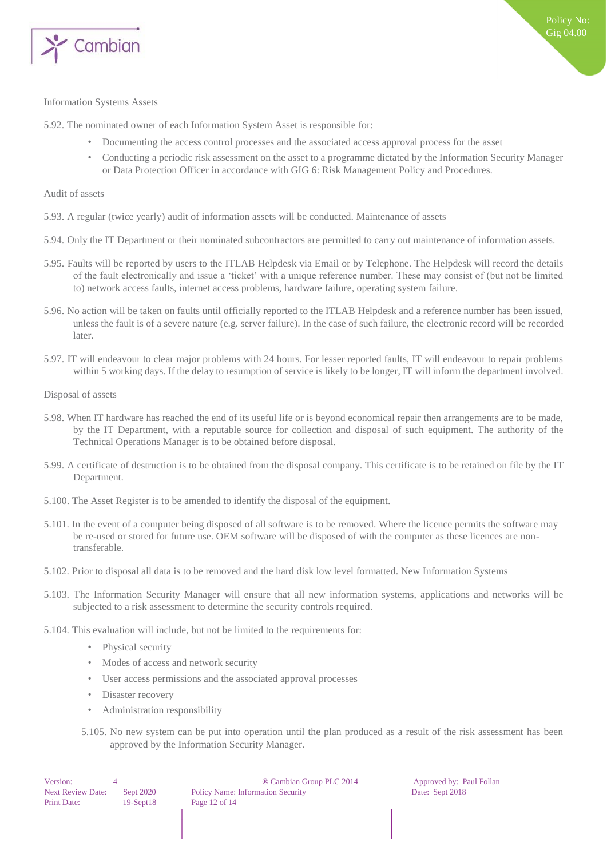

#### <span id="page-11-0"></span>Information Systems Assets

5.92. The nominated owner of each Information System Asset is responsible for:

- Documenting the access control processes and the associated access approval process for the asset
- Conducting a periodic risk assessment on the asset to a programme dictated by the Information Security Manager or Data Protection Officer in accordance with GIG 6: Risk Management Policy and Procedures.

#### <span id="page-11-1"></span>Audit of assets

- 5.93. A regular (twice yearly) audit of information assets will be conducted. Maintenance of assets
- 5.94. Only the IT Department or their nominated subcontractors are permitted to carry out maintenance of information assets.
- 5.95. Faults will be reported by users to the ITLAB Helpdesk via Email or by Telephone. The Helpdesk will record the details of the fault electronically and issue a 'ticket' with a unique reference number. These may consist of (but not be limited to) network access faults, internet access problems, hardware failure, operating system failure.
- 5.96. No action will be taken on faults until officially reported to the ITLAB Helpdesk and a reference number has been issued, unless the fault is of a severe nature (e.g. server failure). In the case of such failure, the electronic record will be recorded later.
- 5.97. IT will endeavour to clear major problems with 24 hours. For lesser reported faults, IT will endeavour to repair problems within 5 working days. If the delay to resumption of service is likely to be longer, IT will inform the department involved.

<span id="page-11-2"></span>Disposal of assets

- 5.98. When IT hardware has reached the end of its useful life or is beyond economical repair then arrangements are to be made, by the IT Department, with a reputable source for collection and disposal of such equipment. The authority of the Technical Operations Manager is to be obtained before disposal.
- 5.99. A certificate of destruction is to be obtained from the disposal company. This certificate is to be retained on file by the IT Department.
- 5.100. The Asset Register is to be amended to identify the disposal of the equipment.
- 5.101. In the event of a computer being disposed of all software is to be removed. Where the licence permits the software may be re-used or stored for future use. OEM software will be disposed of with the computer as these licences are nontransferable.
- 5.102. Prior to disposal all data is to be removed and the hard disk low level formatted. New Information Systems
- 5.103. The Information Security Manager will ensure that all new information systems, applications and networks will be subjected to a risk assessment to determine the security controls required.
- 5.104. This evaluation will include, but not be limited to the requirements for:
	- Physical security
	- Modes of access and network security
	- User access permissions and the associated approval processes
	- Disaster recovery
	- Administration responsibility
	- 5.105. No new system can be put into operation until the plan produced as a result of the risk assessment has been approved by the Information Security Manager.

| Version:                 |            |
|--------------------------|------------|
| <b>Next Review Date:</b> | Sept 202   |
| <b>Print Date:</b>       | $19-Sept1$ |

® Cambian Group PLC 2014 Approved by: Paul Follan Policy Name: Information Security Date: Sept 2018 18 **Page 12 of 14**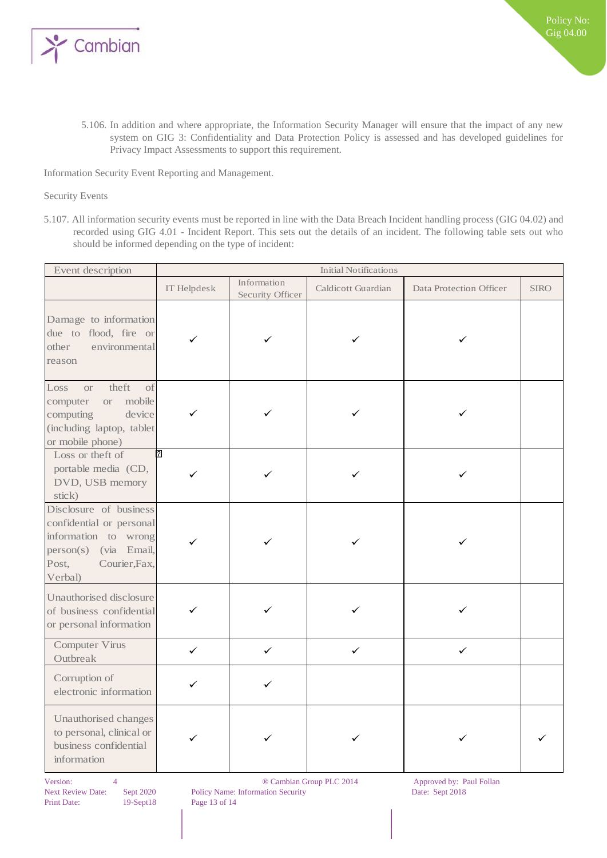

5.106. In addition and where appropriate, the Information Security Manager will ensure that the impact of any new system on GIG 3: Confidentiality and Data Protection Policy is assessed and has developed guidelines for Privacy Impact Assessments to support this requirement.

<span id="page-12-0"></span>Information Security Event Reporting and Management.

#### <span id="page-12-1"></span>Security Events

5.107. All information security events must be reported in line with the Data Breach Incident handling process (GIG 04.02) and recorded using GIG 4.01 - Incident Report. This sets out the details of an incident. The following table sets out who should be informed depending on the type of incident:

| Event description                                                                                                                                | <b>Initial Notifications</b> |                                 |                    |                         |             |  |
|--------------------------------------------------------------------------------------------------------------------------------------------------|------------------------------|---------------------------------|--------------------|-------------------------|-------------|--|
|                                                                                                                                                  | IT Helpdesk                  | Information<br>Security Officer | Caldicott Guardian | Data Protection Officer | <b>SIRO</b> |  |
| Damage to information<br>due to flood, fire or<br>environmental<br>other<br>reason                                                               |                              |                                 |                    |                         |             |  |
| theft<br>Loss<br>of<br><b>or</b><br>computer<br>mobile<br>O <sub>l</sub><br>device<br>computing<br>(including laptop, tablet<br>or mobile phone) |                              |                                 |                    |                         |             |  |
| Loss or theft of<br>portable media (CD,<br>DVD, USB memory<br>stick)                                                                             | ?                            |                                 |                    |                         |             |  |
| Disclosure of business<br>confidential or personal<br>information to wrong<br>person(s)<br>(via Email,<br>Courier, Fax,<br>Post,<br>Verbal)      |                              |                                 |                    |                         |             |  |
| Unauthorised disclosure<br>of business confidential<br>or personal information                                                                   | ✓                            |                                 |                    |                         |             |  |
| Computer Virus<br>Outbreak                                                                                                                       | $\checkmark$                 | ✓                               | $\checkmark$       | ✓                       |             |  |
| Corruption of<br>electronic information                                                                                                          | $\checkmark$                 | ✓                               |                    |                         |             |  |
| Unauthorised changes<br>to personal, clinical or<br>business confidential<br>information                                                         |                              |                                 |                    |                         |             |  |

Next Review Date: Sept 2020 Policy Name: Information Security Date: Sept 2018 Print Date: 19-Sept18 Page 13 of 14

Version: 4 8 8 © 2014 Approved by: Paul Follan